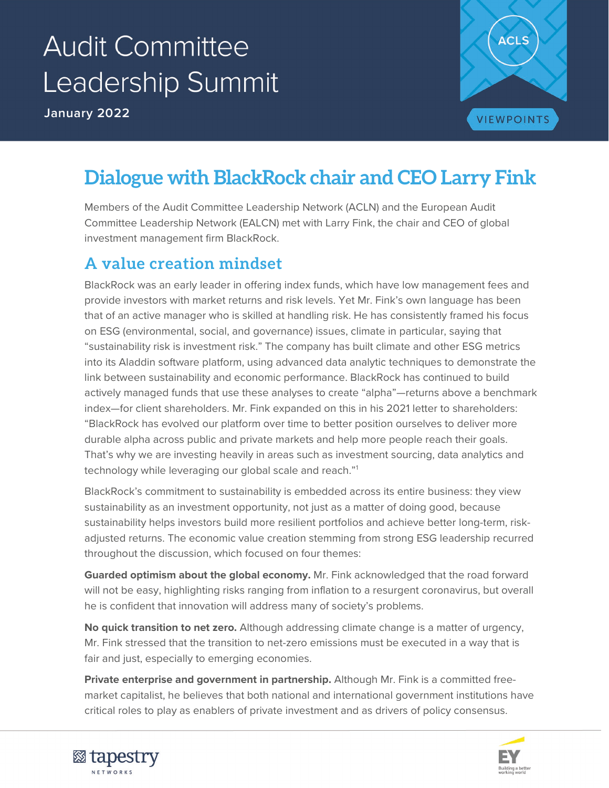# **Audit Committee** Leadership Summit

**January 2022**



## **Dialogue with BlackRock chair and CEO Larry Fink**

Members of the Audit Committee Leadership Network (ACLN) and the European Audit Committee Leadership Network (EALCN) met with Larry Fink, the chair and CEO of global investment management firm BlackRock.

#### **A value creation mindset**

link between sustainability and economic performance. BlackRock has continued to build BlackRock was an early leader in offering index funds, which have low management fees and provide investors with market returns and risk levels. Yet Mr. Fink's own language has been that of an active manager who is skilled at handling risk. He has consistently framed his focus on ESG (environmental, social, and governance) issues, climate in particular, saying that "sustainability risk is investment risk." The company has built climate and other ESG metrics into its Aladdin software platform, using advanced data analytic techniques to demonstrate the actively managed funds that use these analyses to create "alpha"—returns above a benchmark index—for client shareholders. Mr. Fink expanded on this in his 2021 letter to shareholders: "BlackRock has evolved our platform over time to better position ourselves to deliver more durable alpha across public and private markets and help more people reach their goals. That's why we are investing heavily in areas such as investment sourcing, data analytics and technology while leveraging our global scale and reach."[1](#page-8-0)

BlackRock's commitment to sustainability is embedded across its entire business: they view sustainability as an investment opportunity, not just as a matter of doing good, because sustainability helps investors build more resilient portfolios and achieve better long-term, riskadjusted returns. The economic value creation stemming from strong ESG leadership recurred throughout the discussion, which focused on four themes:

**Guarded optimism about the global economy.** Mr. Fink acknowledged that the road forward will not be easy, highlighting risks ranging from inflation to a resurgent coronavirus, but overall he is confident that innovation will address many of society's problems.

**No quick transition to net zero.** Although addressing climate change is a matter of urgency, Mr. Fink stressed that the transition to net-zero emissions must be executed in a way that is fair and just, especially to emerging economies.

**Private enterprise and government in partnership.** Although Mr. Fink is a committed freemarket capitalist, he believes that both national and international government institutions have critical roles to play as enablers of private investment and as drivers of policy consensus.



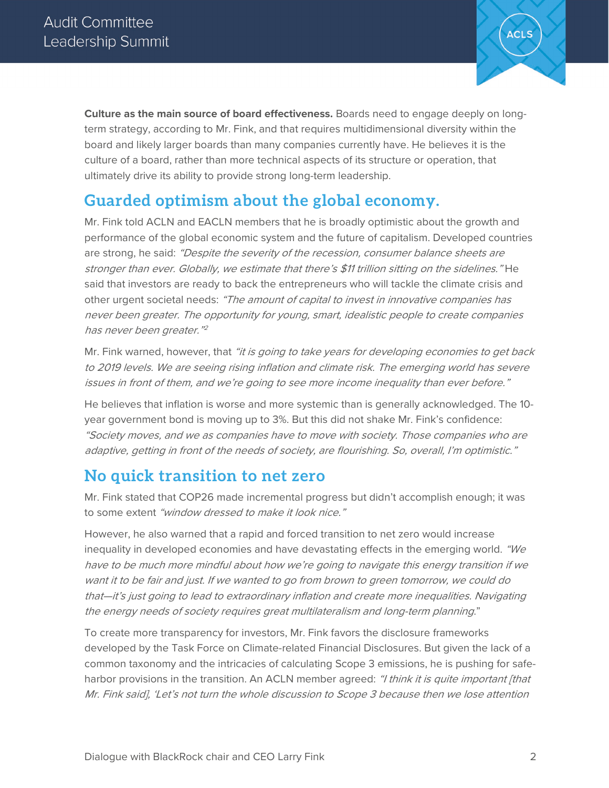

**Culture as the main source of board effectiveness.** Boards need to engage deeply on longterm strategy, according to Mr. Fink, and that requires multidimensional diversity within the board and likely larger boards than many companies currently have. He believes it is the culture of a board, rather than more technical aspects of its structure or operation, that ultimately drive its ability to provide strong long-term leadership.

#### **Guarded optimism about the global economy.**

Mr. Fink told ACLN and EACLN members that he is broadly optimistic about the growth and performance of the global economic system and the future of capitalism. Developed countries are strong, he said: "Despite the severity of the recession, consumer balance sheets are stronger than ever. Globally, we estimate that there's \$11 trillion sitting on the sidelines." He said that investors are ready to back the entrepreneurs who will tackle the climate crisis and other urgent societal needs: "The amount of capital to invest in innovative companies has never been greater. The opportunity for young, smart, idealistic people to create companies has never been greater."[2](#page-8-1)

Mr. Fink warned, however, that "it is going to take years for developing economies to get back to 2019 levels. We are seeing rising inflation and climate risk. The emerging world has severe issues in front of them, and we're going to see more income inequality than ever before."

He believes that inflation is worse and more systemic than is generally acknowledged. The 10 year government bond is moving up to 3%. But this did not shake Mr. Fink's confidence: "Society moves, and we as companies have to move with society. Those companies who are adaptive, getting in front of the needs of society, are flourishing. So, overall, I'm optimistic."

#### **No quick transition to net zero**

Mr. Fink stated that COP26 made incremental progress but didn't accomplish enough; it was to some extent "window dressed to make it look nice."

However, he also warned that a rapid and forced transition to net zero would increase inequality in developed economies and have devastating effects in the emerging world. "We have to be much more mindful about how we're going to navigate this energy transition if we want it to be fair and just. If we wanted to go from brown to green tomorrow, we could do that—it's just going to lead to extraordinary inflation and create more inequalities. Navigating the energy needs of society requires great multilateralism and long-term planning."

To create more transparency for investors, Mr. Fink favors the disclosure frameworks developed by the Task Force on Climate-related Financial Disclosures. But given the lack of a common taxonomy and the intricacies of calculating Scope 3 emissions, he is pushing for safeharbor provisions in the transition. An ACLN member agreed: "I think it is quite important [that Mr. Fink said], 'Let's not turn the whole discussion to Scope 3 because then we lose attention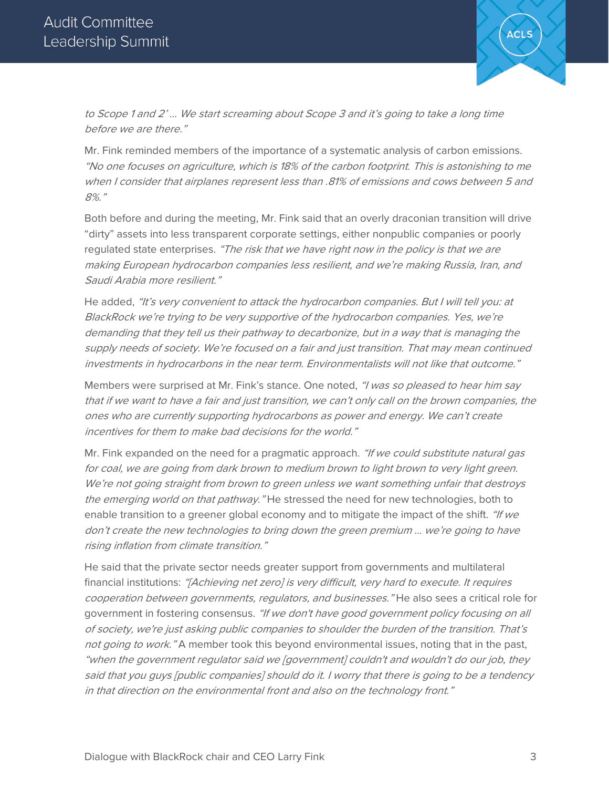

to Scope 1 and 2' … We start screaming about Scope 3 and it's going to take a long time before we are there."

Mr. Fink reminded members of the importance of a systematic analysis of carbon emissions. "No one focuses on agriculture, which is 18% of the carbon footprint. This is astonishing to me when I consider that airplanes represent less than .81% of emissions and cows between 5 and 8%."

Both before and during the meeting, Mr. Fink said that an overly draconian transition will drive "dirty" assets into less transparent corporate settings, either nonpublic companies or poorly requiated state enterprises. "The risk that we have right now in the policy is that we are making European hydrocarbon companies less resilient, and we're making Russia, Iran, and Saudi Arabia more resilient."

He added, "It's very convenient to attack the hydrocarbon companies. But I will tell you: at BlackRock we're trying to be very supportive of the hydrocarbon companies. Yes, we're demanding that they tell us their pathway to decarbonize, but in a way that is managing the supply needs of society. We're focused on a fair and just transition. That may mean continued investments in hydrocarbons in the near term. Environmentalists will not like that outcome."

Members were surprised at Mr. Fink's stance. One noted, "I was so pleased to hear him say that if we want to have a fair and just transition, we can't only call on the brown companies, the ones who are currently supporting hydrocarbons as power and energy. We can't create incentives for them to make bad decisions for the world."

Mr. Fink expanded on the need for a pragmatic approach. "If we could substitute natural gas for coal, we are going from dark brown to medium brown to light brown to very light green. We're not going straight from brown to green unless we want something unfair that destroys the emerging world on that pathway." He stressed the need for new technologies, both to enable transition to a greener global economy and to mitigate the impact of the shift. "If we don't create the new technologies to bring down the green premium … we're going to have rising inflation from climate transition."

He said that the private sector needs greater support from governments and multilateral financial institutions: "[Achieving net zero] is very difficult, very hard to execute. It requires cooperation between governments, regulators, and businesses." He also sees a critical role for government in fostering consensus. "If we don't have good government policy focusing on all of society, we're just asking public companies to shoulder the burden of the transition. That's not going to work." A member took this beyond environmental issues, noting that in the past, "when the government regulator said we [government] couldn't and wouldn't do our job, they said that you guys [public companies] should do it. I worry that there is going to be a tendency in that direction on the environmental front and also on the technology front."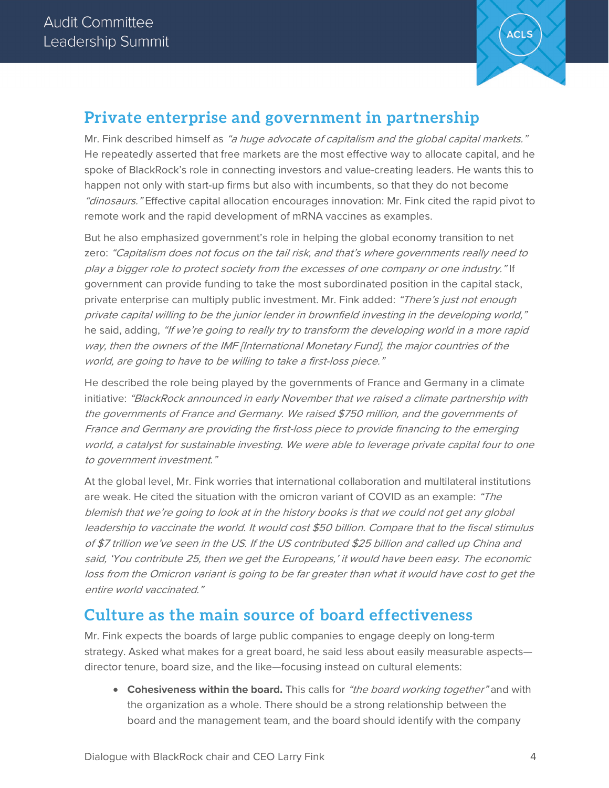

### **Private enterprise and government in partnership**

Mr. Fink described himself as "a huge advocate of capitalism and the global capital markets." He repeatedly asserted that free markets are the most effective way to allocate capital, and he spoke of BlackRock's role in connecting investors and value-creating leaders. He wants this to happen not only with start-up firms but also with incumbents, so that they do not become "dinosaurs." Effective capital allocation encourages innovation: Mr. Fink cited the rapid pivot to remote work and the rapid development of mRNA vaccines as examples.

But he also emphasized government's role in helping the global economy transition to net zero: "Capitalism does not focus on the tail risk, and that's where governments really need to play a bigger role to protect society from the excesses of one company or one industry." If government can provide funding to take the most subordinated position in the capital stack, private enterprise can multiply public investment. Mr. Fink added: "There's just not enough private capital willing to be the junior lender in brownfield investing in the developing world," he said, adding, "If we're going to really try to transform the developing world in a more rapid way, then the owners of the IMF [International Monetary Fund], the major countries of the world, are going to have to be willing to take a first-loss piece."

He described the role being played by the governments of France and Germany in a climate initiative: "BlackRock announced in early November that we raised a climate partnership with the governments of France and Germany. We raised \$750 million, and the governments of France and Germany are providing the first-loss piece to provide financing to the emerging world, a catalyst for sustainable investing. We were able to leverage private capital four to one to government investment."

At the global level, Mr. Fink worries that international collaboration and multilateral institutions are weak. He cited the situation with the omicron variant of COVID as an example: "The blemish that we're going to look at in the history books is that we could not get any global leadership to vaccinate the world. It would cost \$50 billion. Compare that to the fiscal stimulus of \$7 trillion we've seen in the US. If the US contributed \$25 billion and called up China and said, 'You contribute 25, then we get the Europeans,' it would have been easy. The economic loss from the Omicron variant is going to be far greater than what it would have cost to get the entire world vaccinated."

#### **Culture as the main source of board effectiveness**

Mr. Fink expects the boards of large public companies to engage deeply on long-term strategy. Asked what makes for a great board, he said less about easily measurable aspects director tenure, board size, and the like—focusing instead on cultural elements:

• **Cohesiveness within the board.** This calls for "the board working together" and with the organization as a whole. There should be a strong relationship between the board and the management team, and the board should identify with the company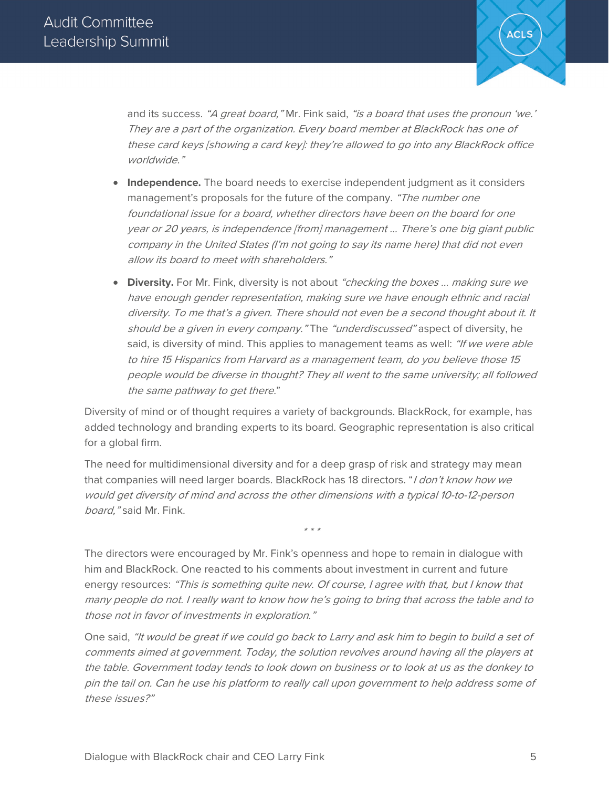

and its success. "A great board," Mr. Fink said, "is a board that uses the pronoun 'we.' They are a part of the organization. Every board member at BlackRock has one of these card keys [showing a card key]: they're allowed to go into any BlackRock office worldwide."

- **Independence.** The board needs to exercise independent judgment as it considers management's proposals for the future of the company. "The number one foundational issue for a board, whether directors have been on the board for one year or 20 years, is independence [from] management … There's one big giant public company in the United States (I'm not going to say its name here) that did not even allow its board to meet with shareholders."
- **Diversity.** For Mr. Fink, diversity is not about "checking the boxes ... making sure we have enough gender representation, making sure we have enough ethnic and racial diversity. To me that's a given. There should not even be a second thought about it. It should be a given in every company." The "underdiscussed" aspect of diversity, he said, is diversity of mind. This applies to management teams as well: "If we were able to hire 15 Hispanics from Harvard as a management team, do you believe those 15 people would be diverse in thought? They all went to the same university; all followed the same pathway to get there."

Diversity of mind or of thought requires a variety of backgrounds. BlackRock, for example, has added technology and branding experts to its board. Geographic representation is also critical for a global firm.

The need for multidimensional diversity and for a deep grasp of risk and strategy may mean that companies will need larger boards. BlackRock has 18 directors. "I don't know how we would get diversity of mind and across the other dimensions with a typical 10-to-12-person board," said Mr. Fink.

The directors were encouraged by Mr. Fink's openness and hope to remain in dialogue with him and BlackRock. One reacted to his comments about investment in current and future energy resources: "This is something quite new. Of course, I agree with that, but I know that many people do not. I really want to know how he's going to bring that across the table and to those not in favor of investments in exploration."

\* \* \*

One said, "It would be great if we could go back to Larry and ask him to begin to build a set of comments aimed at government. Today, the solution revolves around having all the players at the table. Government today tends to look down on business or to look at us as the donkey to pin the tail on. Can he use his platform to really call upon government to help address some of these issues?"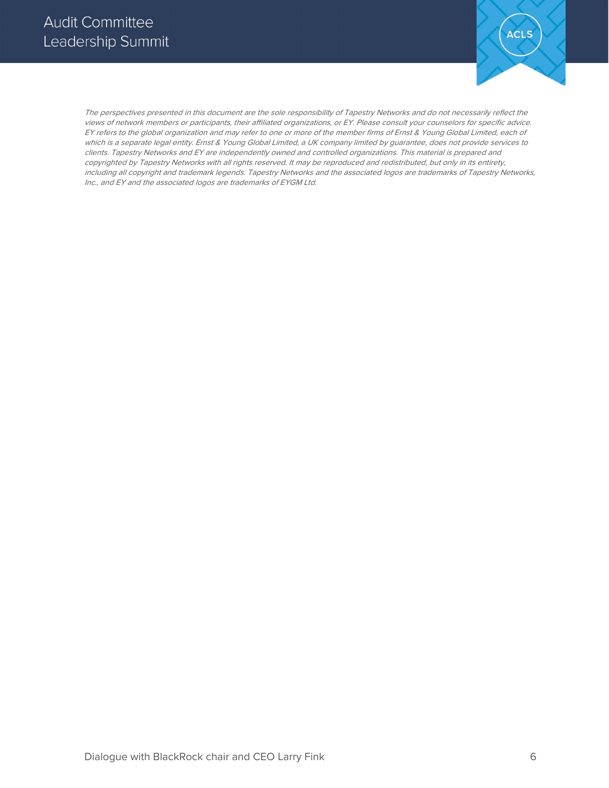

The perspectives presented in this document are the sole responsibility of Tapestry Networks and do not necessarily reflect the views of network members or participants, their affiliated organizations, or EY. Please consult your counselors for specific advice. EY refers to the global organization and may refer to one or more of the member firms of Ernst & Young Global Limited, each of which is a separate legal entity. Ernst & Young Global Limited, a UK company limited by guarantee, does not provide services to clients. Tapestry Networks and EY are independently owned and controlled organizations. This material is prepared and copyrighted by Tapestry Networks with all rights reserved. It may be reproduced and redistributed, but only in its entirety, including all copyright and trademark legends. Tapestry Networks and the associated logos are trademarks of Tapestry Networks, Inc., and EY and the associated logos are trademarks of EYGM Ltd.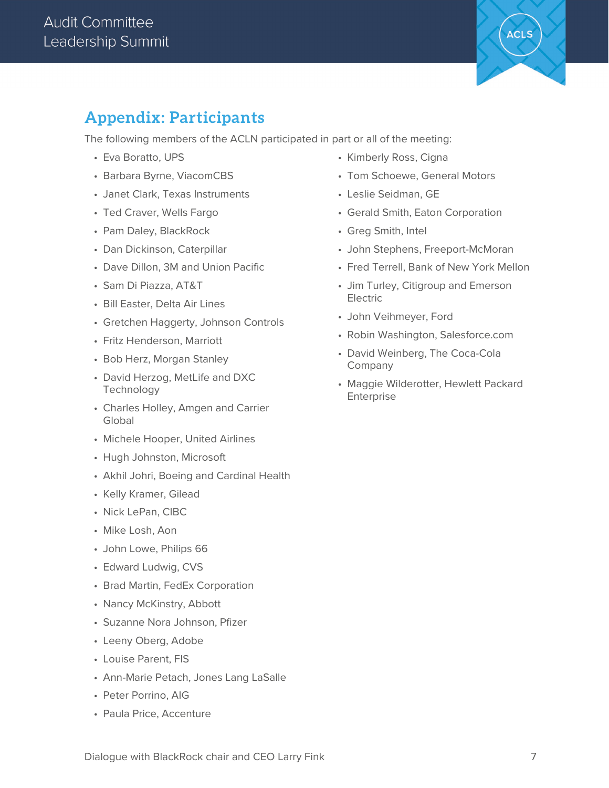

### **Appendix: Participants**

The following members of the ACLN participated in part or all of the meeting:

- Eva Boratto, UPS
- Barbara Byrne, ViacomCBS
- Janet Clark, Texas Instruments
- Ted Craver, Wells Fargo
- Pam Daley, BlackRock
- Dan Dickinson, Caterpillar
- Dave Dillon, 3M and Union Pacific
- Sam Di Piazza, AT&T
- Bill Easter, Delta Air Lines
- Gretchen Haggerty, Johnson Controls
- Fritz Henderson, Marriott
- Bob Herz, Morgan Stanley
- David Herzog, MetLife and DXC Technology
- Charles Holley, Amgen and Carrier Global
- Michele Hooper, United Airlines
- Hugh Johnston, Microsoft
- Akhil Johri, Boeing and Cardinal Health
- Kelly Kramer, Gilead
- Nick LePan, CIBC
- Mike Losh, Aon
- John Lowe, Philips 66
- Edward Ludwig, CVS
- Brad Martin, FedEx Corporation
- Nancy McKinstry, Abbott
- Suzanne Nora Johnson, Pfizer
- Leeny Oberg, Adobe
- Louise Parent, FIS
- Ann-Marie Petach, Jones Lang LaSalle
- Peter Porrino, AIG
- Paula Price, Accenture
- Kimberly Ross, Cigna
- Tom Schoewe, General Motors
- Leslie Seidman, GE
- Gerald Smith, Eaton Corporation
- Greg Smith, Intel
- John Stephens, Freeport-McMoran
- Fred Terrell, Bank of New York Mellon
- Jim Turley, Citigroup and Emerson Electric
- John Veihmeyer, Ford
- Robin Washington, Salesforce.com
- David Weinberg, The Coca-Cola Company
- Maggie Wilderotter, Hewlett Packard Enterprise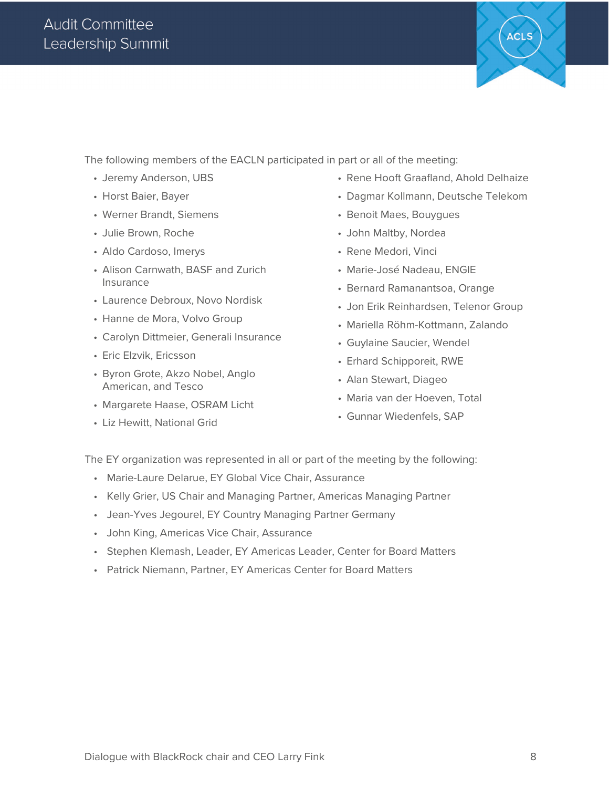

The following members of the EACLN participated in part or all of the meeting:

- Jeremy Anderson, UBS
- Horst Baier, Bayer
- Werner Brandt, Siemens
- Julie Brown, Roche
- Aldo Cardoso, Imerys
- Alison Carnwath, BASF and Zurich Insurance
- Laurence Debroux, Novo Nordisk
- Hanne de Mora, Volvo Group
- Carolyn Dittmeier, Generali Insurance
- Eric Elzvik, Ericsson
- Byron Grote, Akzo Nobel, Anglo American, and Tesco
- Margarete Haase, OSRAM Licht
- Liz Hewitt, National Grid
- Rene Hooft Graafland, Ahold Delhaize
- Dagmar Kollmann, Deutsche Telekom
- Benoit Maes, Bouygues
- John Maltby, Nordea
- Rene Medori, Vinci
- Marie-José Nadeau, ENGIE
- Bernard Ramanantsoa, Orange
- Jon Erik Reinhardsen, Telenor Group
- Mariella Röhm-Kottmann, Zalando
- Guylaine Saucier, Wendel
- Erhard Schipporeit, RWE
- Alan Stewart, Diageo
- Maria van der Hoeven, Total
- Gunnar Wiedenfels, SAP

The EY organization was represented in all or part of the meeting by the following:

- Marie-Laure Delarue, EY Global Vice Chair, Assurance
- Kelly Grier, US Chair and Managing Partner, Americas Managing Partner
- Jean-Yves Jegourel, EY Country Managing Partner Germany
- John King, Americas Vice Chair, Assurance
- Stephen Klemash, Leader, EY Americas Leader, Center for Board Matters
- Patrick Niemann, Partner, EY Americas Center for Board Matters